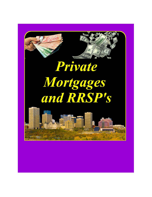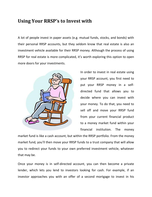## **Using Your RRSP's to Invest with**

A lot of people invest in paper assets (e.g. mutual funds, stocks, and bonds) with their personal RRSP accounts, but they seldom know that real estate is also an investment vehicle available for their RRSP money. Although the process of using RRSP for real estate is more complicated, it's worth exploring this option to open more doors for your investments.



In order to invest in real estate using your RRSP account, you first need to put your RRSP money in a selfdirected fund that allows you to decide where you can invest with your money. To do that, you need to sell off and move your RRSP fund from your current financial product to a money market fund within your financial institution. The money

market fund is like a cash account, but within the RRSP portfolio. From the money market fund, you'll then move your RRSP funds to a trust company that will allow you to redirect your funds to your own preferred investment vehicle, whatever that may be.

Once your money is in self-directed account, you can then become a private lender, which lets you lend to investors looking for cash. For example, if an investor approaches you with an offer of a second mortgage to invest in his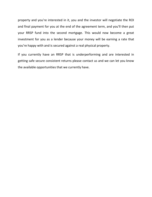property and you're interested in it, you and the investor will negotiate the ROI and final payment for you at the end of the agreement term, and you'll then put your RRSP fund into the second mortgage. This would now become a great investment for you as a lender because your money will be earning a rate that you're happy with and is secured against a real physical property.

If you currently have an RRSP that is underperforming and are interested in getting safe secure consistent returns please contact us and we can let you know the available opportunities that we currently have.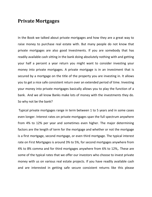## **Private Mortgages**

In the Book we talked about private mortgages and how they are a great way to raise money to purchase real estate with. But many people do not know that private mortgages are also good Investments. If you are somebody that has readily available cash sitting in the bank doing absolutely nothing with and getting your half a percent a year return you might want to consider investing your money into private mortgages. A private mortgage is in an investment that is secured by a mortgage on the title of the property you are investing in. It allows you to get a nice safe consistent return over an extended period of time. Investing your money into private mortgages basically allows you to play the function of a bank. And we all know Banks make lots of money with the investments they do. So why not be the bank?

Typical private mortgages range in term between 1 to 5 years and in some cases even longer. Interest rates on private mortgages span the full spectrum anywhere from 4% to 12% per year and sometimes even higher. The major determining factors are the length of term for the mortgage and whether or not the mortgage is a first mortgage, second mortgage, or even third mortgage. The typical interest rate on First Mortgages is around 3% to 5%, for second mortgages anywhere from 4% to 8% comma and for third mortgages anywhere from 6% to 12%,. These are some of the typical rates that we offer our investors who choose to invest private money with us on various real estate projects. If you have readily available cash and are interested in getting safe secure consistent returns like this please